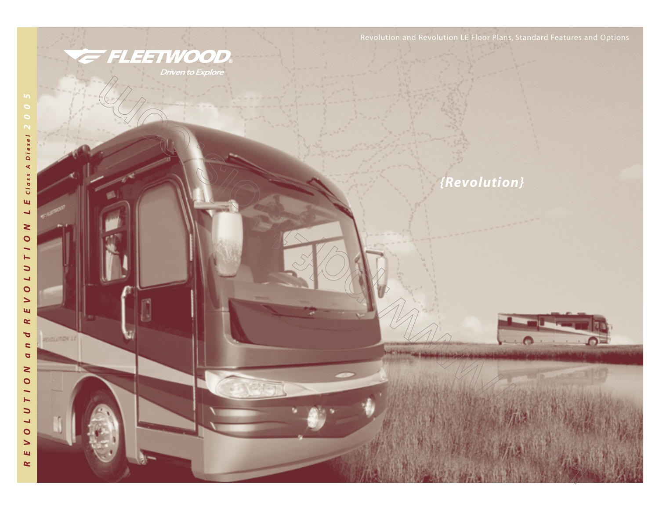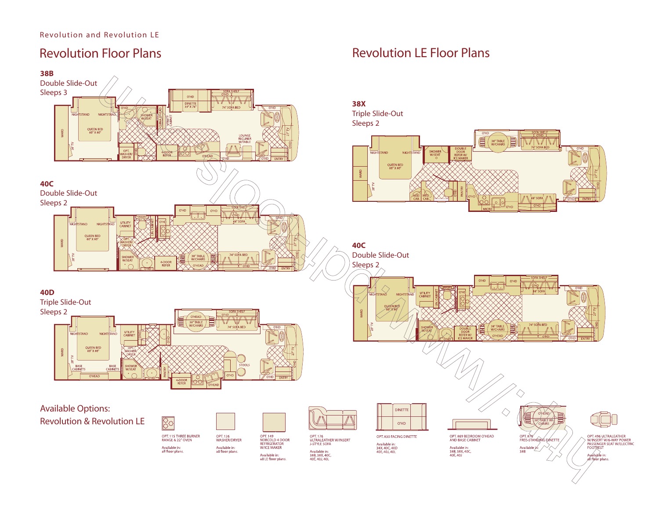# Revolution Floor Plans



Revolution LE Floor Plans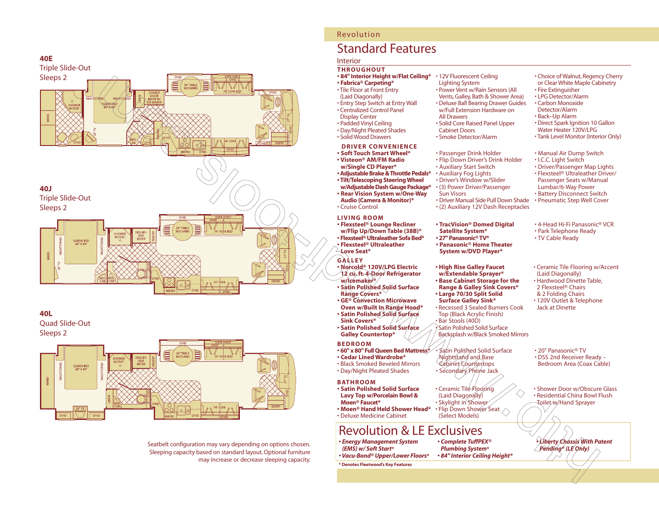

## **40L** Quad Slide-Out

Sleeps 2



Seatbelt configuration may vary depending on options chosen. Sleeping capacity based on standard layout. Optional furniture may increase or decrease sleeping capacity.

# Revolution

# Standard Features

# Interior

## **THROUGHOUT**

• Cruise Control

**Love Seat\***

**w/Icemaker\***

**Sink Covers\***

**BEDROOM**

**Range Covers\***

**GALLEY**

**LIVING ROOM**

• Tile Floor at Front Entry (Laid Diagonally)

• Entry Step Switch at Entry Wall • Centralized Control Panel Display Center • Padded Vinyl Ceiling • Day/Night Pleated Shades • Solid Wood Drawers

**DRIVER CONVENIENCE • Soft Touch Smart Wheel\* • Visteon® AM/FM Radio w/Single CD Player\***

**• Flexsteel® Lounge Recliner w/Flip Up/Down Table (38B)\* • Flexsteel® Ultraleather Sofa Bed\* • Flexsteel® Ultraleather** 

**• Norcold® 120V/LPG Electric 12 cu. ft. 4-Door Refrigerator**

**• Satin Polished Solid Surface** 

**• GE® Convection Microwave Oven w/Built In Range Hood\* • Satin Polished Solid Surface** 

**• Satin Polished Solid Surface Galley Countertop\***

**• 60" x 80" Full Queen Bed Mattress\* • Cedar Lined Wardrobe\*** • Black Smoked Beveled Mirrors

**• Adjustable Brake & Throttle Pedals\* • Tilt/Telescoping Steering Wheel w/Adjustable Dash Gauge Package\* • Rear Vision System w/One-Way Audio (Camera & Monitor)\***

- **84" Interior Height w/Flat Ceiling\*** 12V Fluorescent Ceiling **• Fabrica® Carpeting\***
	- Lighting System
		- Power Vent w/Rain Sensors (All Vents, Galley, Bath & Shower Area)
		- Deluxe Ball Bearing Drawer Guides
		- w/Full Extension Hardware on All Drawers
		- Solid Core Raised Panel Upper Cabinet Doors
		- Smoke Detector/Alarm
		- Passenger Drink Holder
		- Flip Down Driver's Drink Holder
		- Auxiliary Start Switch • Auxiliary Fog Lights
		- Driver's Window w/Slider
		- (3) Power Driver/Passenger
		- Sun Visors • Driver Manual Side Pull Down Shade
		- (2) Auxiliary 12V Dash Receptacles
		- **TracVision® Domed Digital Satellite System\* • 27" Panasonic® TV\* • Panasonic® Home Theater System w/DVD Player\***
		- **High Rise Galley Faucet w/Extendable Sprayer\***
		- **Base Cabinet Storage for the Range & Galley Sink Covers\***
		- **Large 70/30 Split Solid Surface Galley Sink\*** • Recessed 3 Sealed Burners Cook
		- Top (Black Acrylic Finish) • Bar Stools (40D) • Satin Polished Solid Surface Backsplash w/Black Smoked Mirrors
		- Satin Polished Solid Surface Nightstand and Base Cabinet Countertops • Secondary Phone Jack
		- Ceramic Tile Flooring (Laid Diagonally) • Flip Down Shower Seat  $\Diamond$

# Revolution & LE Exclusives

- *Energy Management System (EMS) w/ Soft Start***\*** *• Vacu-Bond® Upper/Lower Floors***\***
- **\* Denotes Fleetwood's Key Features**
- Choice of Walnut, Regency Cherry
- or Clear White Maple Cabinetry • Fire Extinguisher
- LPG Detector/Alarm
- Carbon Monoxide
- Detector/Alarm
- Back–Up Alarm
- Direct Spark Ignition 10 Gallon Water Heater 120V/LPG
- Tank Level Monitor (Interior Only)
- Manual Air Dump Switch
- I.C.C. Light Switch
- Driver/Passenger Map Lights
- Flexsteel® Ultraleather Driver/
- Passenger Seats w/Manual
- Lumbar/6-Way Power
- Battery Disconnect Switch • Pneumatic Step Well Cover
- 4-Head Hi-Fi Panasonic® VCR
- Park Telephone Ready
- TV Cable Ready
- Ceramic Tile Flooring w/Accent (Laid Diagonally)
- Hardwood Dinette Table, 2 Flexsteel® Chairs & 2 Folding Chairs
- 120V Outlet & Telephone Jack at Dinette
- 20" Panasonic® TV • DSS 2nd Receiver Ready – Bedroom Area (Coax Cable)
- Shower Door w/Obscure Glass • Residential China Bowl Flush Toilet w/Hand Sprayer
- *Liberty Chassis With Patent Pending\* (LE Only)*
- Day/Night Pleated Shades **BATHROOM • Satin Polished Solid Surface Lavy Top w/Porcelain Bowl & Moen® Faucet\***
- **Moen® Hand Held Shower Head\*** • Deluxe Medicine Cabinet

*• Complete TuffPEX® Plumbing System***\*** *• 84" Interior Ceiling Height\**

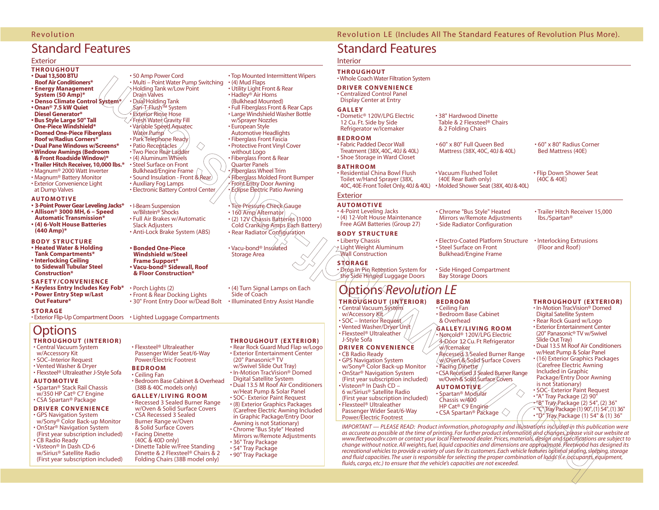# Standard Features

## Exterior

## **THROUGHOUT**

- **Dual 13,500 BTU**
- **Roof Air Conditioners\***
- **Energy Management**
- **System (50 Amp)\***
- **Denso Climate Control System\***
- **Onan® 7.5 kW Quiet Diesel Generator\***
- **Bus Style Large 50" Tall**
- **One-Piece Windshield\***
- **Domed One-Piece Fiberglass Roof w/Radius Corners\***
- **Dual Pane Windows w/Screens\***
- **Window Awnings (Bedroom & Front Roadside Window)\***
- **Trailer Hitch Receiver, 10,000 lbs.\***
- Magnum® 2000 Watt Inverter
- Magnum® Battery Monitor
- Exterior Convenience Light
- at Dump Valves

## **AUTOMOTIVE**

- **3-Point Power Gear Leveling Jacks\***
- **Allison® 3000 MH, 6 Speed Automatic Transmission\***
- **(4) 6-Volt House Batteries (440 Amp)\***

#### **BODY STRUCTURE**

- **Heated Water & Holding Tank Compartments\***
- **• Interlocking Ceiling to Sidewall Tubular Steel Construction\***

#### **SAFETY/CONVENIENCE**

- **Keyless Entry Includes Key Fob\***
- **Power Entry Step w/Last**
- **Out Feature\***

#### **STORAGE**

# **Options**

## **THROUGHOUT (INTERIOR)**

- Central Vacuum System
- w/Accessory Kit
- SOC–Interior Request
- Vented Washer & Dryer
- Flexsteel® Ultraleather J-Style Sofa
- **AUTOMOTIVE**  • Spartan® Stack Rail Chassis w/350 HP Cat® C7 Engine
- CSA Spartan® Package

#### **DRIVER CONVENIENCE** • GPS Navigation System

- w/Sony® Color Back-up Monitor
- OnStar® Navigation System (First year subscription included) • CB Radio Ready
- Visteon® In Dash CD-6 w/Sirius® Satellite Radio (First year subscription included)

#### • 50 Amp Power Cord • Multi – Point Water Pump Switching • Holding Tank w/Low Point Drain Valves • Dual Holding Tank San-T-Flush™ System **Exterior Rinse Hose** • Fresh Water Gravity Fill • Variable Speed Aquatec Water Pump • Park Telephone Ready • Patio Receptacles ◇ • Two Piece Rear Ladder • (4) Aluminum Wheels • Steel Surface on Front Bulkhead/Engine Frame • Sound Insulation - Front & Rear) • Auxiliary Fog Lamps

• I-Beam Suspension w/Bilstein® Shocks • Full Air Brakes w/Automatic Slack Adjusters

• Electronic Battery Control Center

- Anti-Lock Brake System (ABS)
- **Bonded One-Piece Windshield w/Steel Frame Support\* • Vacu-bond® Sidewall, Roof & Floor Construction\***

# • Porch Lights (2) • Front & Rear Docking Lights

• 30" Front Entry Door w/Dead Bolt

• Exterior Flip-Up Compartment Doors • Lighted Luggage Compartments

• Flexsteel® Ultraleather Passenger Wider Seat/6-Way Power/Electric Footrest

(38B & 40C models only) **GALLEY/LIVING ROOM** • Recessed 3 Sealed Burner Range w/Oven & Solid Surface Covers • CSA Recessed 3 Sealed Burner Range w/Oven & Solid Surface Covers • Facing Dinette (40C & 40D only)

• Dinette Table w/Free Standing

**BEDROOM** • Ceiling Fan

# **THROUGHOUT (EXTERIOR)**

• Top Mounted Intermittent Wipers

 $\cdot$  (4) Mud Flaps • Utility Light Front & Rear • Hadley® Air Horns (Bulkhead Mounted) • Full Fiberglass Front & Rear Caps • Large Windshield Washer Bottle w/Sprayer Nozzles • European Style Automotive Headlights • Fiberglass Front Fascia • Protective Front Vinyl Cover

without Logo • Fiberglass Front & Rear Quarter Panels • Fiberglass Wheel Trim • Fiberglass Molded Front Bumper • Front Entry Door Awning • Eclipse Electric Patio Awning

• Vacu-bond® Insulated Storage Area

Side of Coach

• Tire Pressure Check Gauge • 160 Amp Alternator • (2) 12V Chassis Batteries (1000 Cold Cranking Amps Each Battery) • Rear Radiator Configuration

• Bedroom Base Cabinet & Overhead • Rear Rock Guard Mud Flap w/Logo • Exterior Entertainment Center (20" Panasonic® TV w/Swivel Slide Out Tray) • In-Motion TracVision® Domed Digital Satellite System

• (4) Turn Signal Lamps on Each

• Illuminated Entry Assist Handle

- Dual 13.5 M Roof Air Conditioners w/Heat Pump & Solar Panel • SOC- Exterior Paint Request
- (8) Exterior Graphics Packages (Carefree Electric Awning Included in Graphic Package/Entry Door Awning is not Stationary)
- Chrome "Bus Style" Heated Mirrors w/Remote Adjustments • 36" Tray Package
- 54" Tray Package
- Dinette & 2 Flexsteel® Chairs & 2 Folding Chairs (38B model only) • 90" Tray Package

## Revolution Revolution LE (Includes All The Standard Features of Revolution Plus More).

• 38" Hardwood Dinette Table & 2 Flexsteel® Chairs & 2 Folding Chairs

# Standard Features

# Interior

## **THROUGHOUT**

• Whole Coach Water Filtration System

## **DRIVER CONVENIENCE**

• Centralized Control Panel Display Center at Entry

### **GALLEY**

• Dometic® 120V/LPG Electric 12 Cu. Ft. Side by Side Refrigerator w/Icemaker

### **BEDROOM**

• Fabric Padded Decor Wall Treatment (38X, 40C, 40J & 40L) • 60" x 80" Full Queen Bed Mattress (38X, 40C, 40J & 40L)

• Residential China Bowl Flush • Shoe Storage in Ward Closet

Toilet w/Hand Sprayer (38X, 40C, 40E-Front Toilet Only,40J & 40L) • Molded Shower Seat (38X,40J & 40L) • Vacuum Flushed Toilet (40E Rear Bath only)

## Exterior

**BATHROOM**

**AUTOMOTIVE**  • 4-Point Leveling Jacks • (4) 12-Volt House Maintenance Free AGM Batteries (Group 27)

## **BODY STRUCTURE**

• Liberty Chassis • Light Weight Aluminum Wall Construction

# **STORAGE**

• Drop In Pin Retention System for the Side Hinged Luggage Doors

# Options *Revolution LE*

# **THROUGHOUT (INTERIOR)**

• Central Vacuum System w/Accessory Kit • SOC – Interior Request • Vented Washer/Dryer Unit • Flexsteel® Ultraleather

### J-Style Sofa **DRIVER CONVENIENCE**

• CB Radio Ready • GPS Navigation System w/Sony® Color Back-up Monitor • OnStar® Navigation System (First year subscription included) • Visteon® In Dash CD – 6 w/Sirius® Satellite Radio (First year subscription included) • Flexsteel® Ultraleather

Passenger Wider Seat/6-Way Power/Electric Footrest

*IMPORTANT — PLEASE READ: Product information, photography and illustrations included in this publication were as accurate as possible at the time of printing. For further product information and changes, please visit our website at www.fleetwoodrv.com or contact your local Fleetwood dealer. Prices, materials, design and specifications are subject to change without notice. All weights, fuel, liquid capacities and dimensions are approximate. Fleetwood has designed its recreational vehicles to provide a variety of uses for its customers. Each vehicle features optimal seating, sleeping, storage and fluid capacities. The user is responsible for selecting the proper combination of loads (i.e. occupants, equipment, fluids, cargo, etc.) to ensure that the vehicle's capacities are not exceeded.*

- **BEDROOM**
- Ceiling Fan • Bedroom Base Cabinet & Overhead

• Chrome "Bus Style" Heated Mirrors w/Remote Adjustments • Side Radiator Configuration

• Steel Surface on Front Bulkhead/Engine Frame

• Side Hinged Compartment Bay Storage Doors

• Electro-Coated Platform Structure

**GALLEY/LIVING ROOM** • Norcold® 120V/LPG Electric 4-Door 12 Cu. Ft Refrigerator

w/Icemaker • Recessed 3 Sealed Burner Range w/Oven & Solid Surface Covers • Facing Dinette • CSA Recessed 3 Sealed Burner Range

### w/Oven & Solid Surface Covers **AUTOMOTIVE**

• Spartan® Modular Chassis w/400 HP Cat® C9 Engine • CSA Spartan® Package  $\langle \rangle$ 

- **THROUGHOUT (EXTERIOR)**
- In-Motion TracVision® Domed Digital Satellite System

• Flip Down Shower Seat (40C & 40E)

• 60" x 80" Radius Corner Bed Mattress (40E)

• Trailer Hitch Receiver 15,000

• Interlocking Extrusions (Floor and Roof )

lbs./Spartan®

- Rear Rock Guard w/Logo • Exterior Entertainment Center (20" Panasonic® TV w/Swivel
- Slide Out Tray) • Dual 13.5 M Roof Air Conditioners
- w/Heat Pump & Solar Panel
- (16) Exterior Graphics Packages (Carefree Electric Awning

Included in Graphic Package/Entry Door Awning is not Stationary) • SOC- Exterior Paint Request

• "A" Tray Package (2) 90" • "B" Tray Package (2) 54", (2) 36" • "C" Tray Package (1) 90",(1) 54",(1) 36" • "D" Tray Package (1) 54" & (1) 36"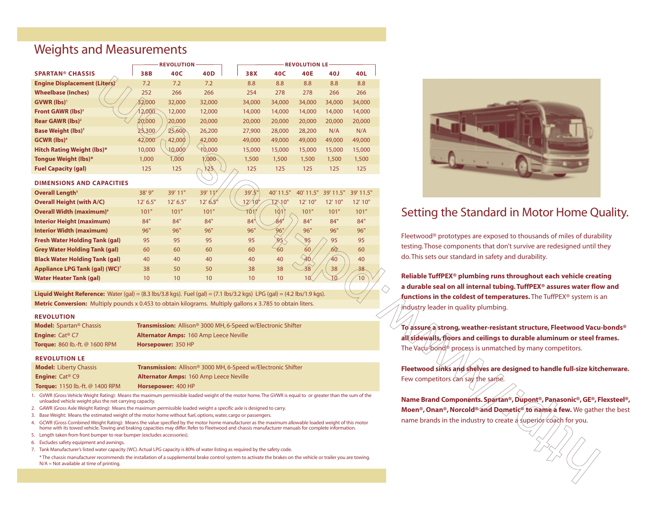# Weights and Measurements

|                                            | <b>REVOLUTION</b> |            |                         | <b>REVOLUTION LE</b> |                 |                 |           |           |  |
|--------------------------------------------|-------------------|------------|-------------------------|----------------------|-----------------|-----------------|-----------|-----------|--|
| <b>SPARTAN® CHASSIS</b>                    | 38B               | 40C        | 40D                     | 38X                  | 40C             | <b>40E</b>      | 40J       | 40L       |  |
| <b>Engine Displacement (Liters)</b>        | 7.2               | 7.2        | 7.2                     | 8.8                  | 8.8             | 8.8             | 8.8       | 8.8       |  |
| <b>Wheelbase (Inches)</b>                  | 252               | 266        | 266                     | 254                  | 278             | 278             | 266       | 266       |  |
| GVWR (lbs) <sup>1</sup>                    | 32,000            | 32,000     | 32,000                  | 34,000               | 34,000          | 34,000          | 34,000    | 34,000    |  |
| Front GAWR (lbs) <sup>2</sup>              | 12,000            | 12,000     | 12,000                  | 14,000               | 14,000          | 14,000          | 14,000    | 14,000    |  |
| Rear GAWR (lbs) <sup>2</sup>               | 20,000            | 20,000     | 20,000                  | 20,000               | 20,000          | 20,000          | 20,000    | 20,000    |  |
| <b>Base Weight (lbs)<sup>3</sup></b>       | 25,300            | 25,600     | 26,200                  | 27,900               | 28,000          | 28,200          | N/A       | N/A       |  |
| <b>GCWR</b> (lbs) <sup>4</sup>             | 42,000            | 42,000     | 42,000                  | 49,000               | 49,000          | 49,000          | 49,000    | 49,000    |  |
| <b>Hitch Rating Weight (lbs)*</b>          | 10,000            | 10,000     | 10,000                  | 15,000               | 15,000          | 15,000          | 15,000    | 15,000    |  |
| Tongue Weight (lbs)*                       | 1,000             | 1,000      | 000 <sub>1</sub>        | 1,500                | 1,500           | 1,500           | 1,500     | 1,500     |  |
| <b>Fuel Capacity (gal)</b>                 | 125               | 125        | 125.                    | 125                  | 125             | 125             | 125       | 125       |  |
| <b>DIMENSIONS AND CAPACITIES</b>           |                   |            |                         |                      |                 |                 |           |           |  |
| Overall Length <sup>5</sup>                | 38' 9"            | 39' 11"    | 39' $11$ <sup>y</sup>   | 39'.5"               | 40' 11.5"       | 40' 11.5"       | 39' 11.5" | 39' 11.5" |  |
| <b>Overall Height (with A/C)</b>           | 12' 6.5"          | $12'$ 6.5" | $12'$ 6.5 <sup>th</sup> | $12^{1/9"}$          | 12\10"          | 12' 10"         | 12' 10"   | 12' 10"   |  |
| Overall Width (maximum) <sup>6</sup>       | 101"              | 101"       | 101"                    | 101/                 | 101             | 101"            | 101"      | 101"      |  |
| <b>Interior Height (maximum)</b>           | 84"               | 84"        | 84"                     | 84"                  | 84'             | 84"             | 84"       | 84"       |  |
| <b>Interior Width (maximum)</b>            | 96"               | 96"        | 96"                     | 96"                  | $96^{\circ}$    | 96"             | 96"       | 96"       |  |
| <b>Fresh Water Holding Tank (gal)</b>      | 95                | 95         | 95                      | 95                   | 95 <sup>4</sup> | 95              | 95        | 95        |  |
| <b>Grey Water Holding Tank (gal)</b>       | 60                | 60         | 60                      | 60                   | 60              | 60              | 60        | 60        |  |
| <b>Black Water Holding Tank (gal)</b>      | 40                | 40         | 40                      | 40                   | 40              | $\overline{40}$ | 40        | 40        |  |
| Appliance LPG Tank (gal) (WC) <sup>7</sup> | 38                | 50         | 50                      | 38                   | 38              | $38^{\circ}$    | 38        | 38        |  |
| <b>Water Heater Tank (gal)</b>             | 10                | 10         | 10                      | 10                   | 10              | 10 <sup>6</sup> |           | 10        |  |

**Liquid Weight Reference:** Water (gal) = (8.3 lbs/3.8 kgs). Fuel (gal) = (7.1 lbs/3.2 kgs) LPG (gal) = (4.2 lbs/1.9 kgs). **Metric Conversion:** Multiply pounds x 0.453 to obtain kilograms. Multiply gallons x 3.785 to obtain liters.

| <b>REVOLUTION</b>                     |                                                                                 |
|---------------------------------------|---------------------------------------------------------------------------------|
| <b>Model:</b> Spartan® Chassis        | <b>Transmission:</b> Allison <sup>®</sup> 3000 MH, 6-Speed w/Electronic Shifter |
| <b>Engine:</b> Cat® C7                | <b>Alternator Amps: 160 Amp Leece Neville</b>                                   |
| <b>Torque:</b> 860 lb.-ft. @ 1600 RPM | Horsepower: 350 HP                                                              |

#### **REVOLUTION LE**

**REVOLUTION** 

| <b>Model:</b> Liberty Chassis          | <b>Transmission:</b> Allison <sup>®</sup> 3000 MH, 6-Speed w/Electronic Shifter |
|----------------------------------------|---------------------------------------------------------------------------------|
| <b>Engine:</b> $Cat® C9$               | <b>Alternator Amps: 160 Amp Leece Neville</b>                                   |
| <b>Torque:</b> 1150 lb.-ft. @ 1400 RPM | <b>Horsepower: 400 HP</b>                                                       |

1. GVWR (Gross Vehicle Weight Rating): Means the maximum permissible loaded weight of the motor home.The GVWR is equal to or greater than the sum of the unloaded vehicle weight plus the net carrying capacity.

2. GAWR (Gross Axle Weight Rating): Means the maximum permissible loaded weight a specific axle is designed to carry.

3. Base Weight: Means the estimated weight of the motor home without fuel, options, water, cargo or passengers.

4. GCWR (Gross Combined Weight Rating): Means the value specified by the motor home manufacturer as the maximum allowable loaded weight of this motor home with its towed vehicle.Towing and braking capacities may differ. Refer to Fleetwood and chassis manufacturer manuals for complete information.

5. Length taken from front bumper to rear bumper (excludes accessories).

6. Excludes safety equipment and awnings.

7. Tank Manufacturer's listed water capacity (WC). Actual LPG capacity is 80% of water listing as required by the safety code.

\* The chassis manufacturer recommends the installation of a supplemental brake control system to activate the brakes on the vehicle or trailer you are towing. N/A = Not available at time of printing.



# Setting the Standard in Motor Home Quality.

Fleetwood® prototypes are exposed to thousands of miles of durability testing. Those components that don't survive are redesigned until they do. This sets our standard in safety and durability.

**Reliable TuffPEX® plumbing runs throughout each vehicle creating a durable seal on all internal tubing. TuffPEX® assures water flow and functions in the coldest of temperatures.** The TuffPEX® system is an industry leader in quality plumbing.

**To assure a strong, weather-resistant structure, Fleetwood Vacu-bonds® all sidewalls, floors and ceilings to durable aluminum or steel frames.** The Vacu-bond<sup>®</sup> process is unmatched by many competitors.

**Fleetwood sinks and shelves are designed to handle full-size kitchenware.** Few competitors can say the same.

**Name Brand Components. Spartan®, Dupont®, Panasonic®, GE®, Flexsteel®, Moen®, Onan®, Norcold® and Dometic® to name a few.** We gather the best name brands in the industry to create a superior coach for you.